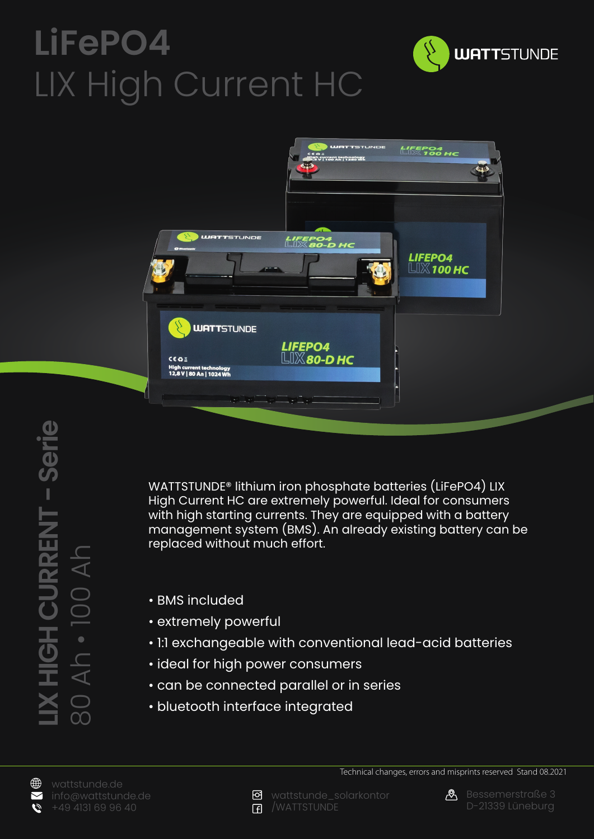## **LiFePO4** LIX High Current HC





WATTSTUNDE® lithium iron phosphate batteries (LiFePO4) LIX High Current HC are extremely powerful. Ideal for consumers with high starting currents. They are equipped with a battery management system (BMS). An already existing battery can be replaced without much effort.

- BMS included
- extremely powerful
- 1:1 exchangeable with conventional lead-acid batteries
- ideal for high power consumers
- can be connected parallel or in series
- bluetooth interface integrated





Technical changes, errors and misprints reserved Stand 08.2021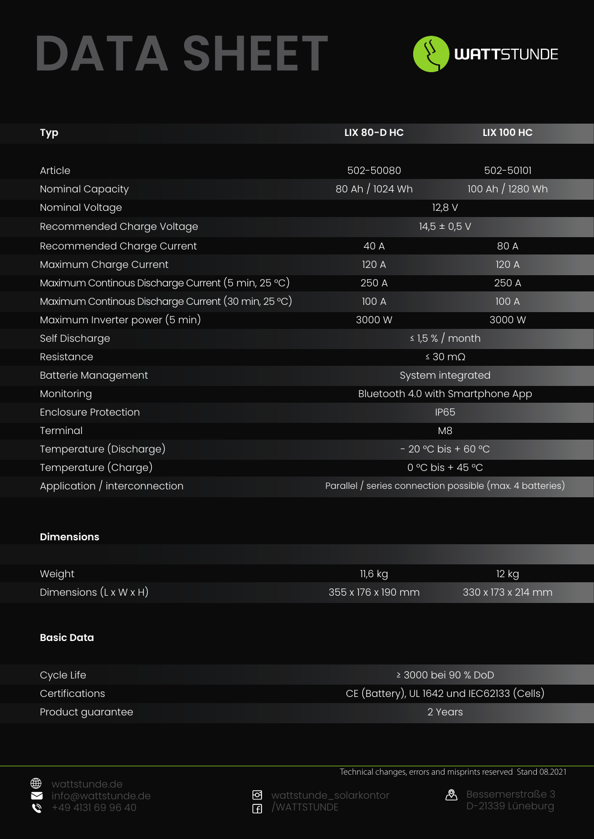## **DATA SHEET**



| <b>Typ</b>                                          | <b>LIX 80-D HC</b>                                       | <b>LIX 100 HC</b> |
|-----------------------------------------------------|----------------------------------------------------------|-------------------|
|                                                     |                                                          |                   |
| Article                                             | 502-50080                                                | 502-50101         |
| Nominal Capacity                                    | 80 Ah / 1024 Wh                                          | 100 Ah / 1280 Wh  |
| Nominal Voltage                                     | $12,8$ V                                                 |                   |
| Recommended Charge Voltage                          | $14,5 \pm 0.5$ V                                         |                   |
| Recommended Charge Current                          | $40\overline{A}$                                         | 80 A              |
| Maximum Charge Current                              | 120 A                                                    | 120 A             |
| Maximum Continous Discharge Current (5 min, 25 °C)  | 250 A                                                    | 250 A             |
| Maximum Continous Discharge Current (30 min, 25 °C) | 100 A                                                    | 100 A             |
| Maximum Inverter power (5 min)                      | 3000W                                                    | 3000 W            |
| Self Discharge                                      | $\leq$ 1,5 % / month                                     |                   |
| Resistance                                          | $\leq 30 \text{ m}\Omega$                                |                   |
| <b>Batterie Management</b>                          | System integrated                                        |                   |
| Monitoring                                          | Bluetooth 4.0 with Smartphone App                        |                   |
| <b>Enclosure Protection</b>                         | <b>IP65</b>                                              |                   |
| Terminal                                            | M <sub>8</sub>                                           |                   |
| Temperature (Discharge)                             | $-20$ °C bis + 60 °C                                     |                   |
| Temperature (Charge)                                | 0 °C bis + 45 °C                                         |                   |
| Application / interconnection                       | Parallel / series connection possible (max. 4 batteries) |                   |

## **Dimensions**

| Weight                             | $11,6$ kg          | 12 kg                          |
|------------------------------------|--------------------|--------------------------------|
| Dimensions $(L \times W \times H)$ | 355 x 176 x 190 mm | $330 \times 173 \times 214$ mm |

## **Basic Data**

| Cycle Life            | ≥ 3000 bei 90 % DoD                        |
|-----------------------|--------------------------------------------|
| <b>Certifications</b> | CE (Battery), UL 1642 und IEC62133 (Cells) |
| Product guarantee     | 2 Years                                    |

wattstunde.de info@wattstunde.de +49 4131 69 96 40



o wattstunde\_solarkontor /WATTSTUNDE



Technical changes, errors and misprints reserved Stand 08.2021

**&** Bessemerstraße 3 D-21339 Lüneburg